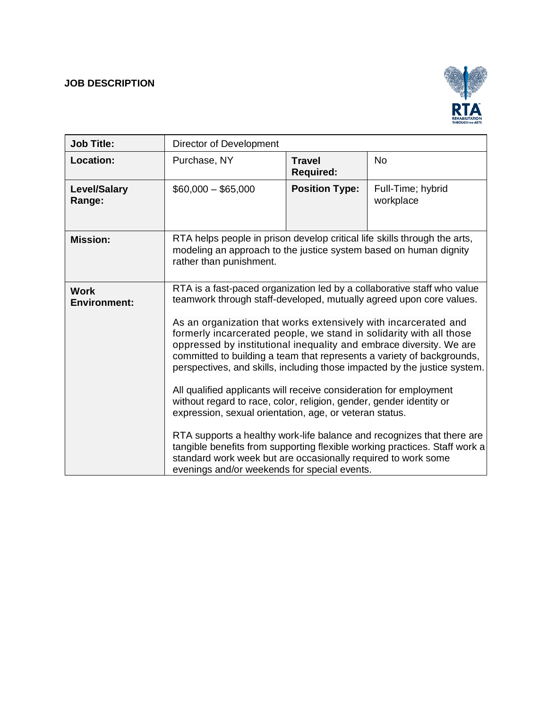# **JOB DESCRIPTION**



| <b>Job Title:</b>                  | Director of Development                                                                                                                                                                                                                                                                                                                                                                                                                                                                                                                                                                                                                                                                                                                                                                                                                                                                                                                                                                                 |                                   |                                |
|------------------------------------|---------------------------------------------------------------------------------------------------------------------------------------------------------------------------------------------------------------------------------------------------------------------------------------------------------------------------------------------------------------------------------------------------------------------------------------------------------------------------------------------------------------------------------------------------------------------------------------------------------------------------------------------------------------------------------------------------------------------------------------------------------------------------------------------------------------------------------------------------------------------------------------------------------------------------------------------------------------------------------------------------------|-----------------------------------|--------------------------------|
| <b>Location:</b>                   | Purchase, NY                                                                                                                                                                                                                                                                                                                                                                                                                                                                                                                                                                                                                                                                                                                                                                                                                                                                                                                                                                                            | <b>Travel</b><br><b>Required:</b> | <b>No</b>                      |
| <b>Level/Salary</b><br>Range:      | $$60,000 - $65,000$                                                                                                                                                                                                                                                                                                                                                                                                                                                                                                                                                                                                                                                                                                                                                                                                                                                                                                                                                                                     | <b>Position Type:</b>             | Full-Time; hybrid<br>workplace |
| <b>Mission:</b>                    | RTA helps people in prison develop critical life skills through the arts,<br>modeling an approach to the justice system based on human dignity<br>rather than punishment.                                                                                                                                                                                                                                                                                                                                                                                                                                                                                                                                                                                                                                                                                                                                                                                                                               |                                   |                                |
| <b>Work</b><br><b>Environment:</b> | RTA is a fast-paced organization led by a collaborative staff who value<br>teamwork through staff-developed, mutually agreed upon core values.<br>As an organization that works extensively with incarcerated and<br>formerly incarcerated people, we stand in solidarity with all those<br>oppressed by institutional inequality and embrace diversity. We are<br>committed to building a team that represents a variety of backgrounds,<br>perspectives, and skills, including those impacted by the justice system.<br>All qualified applicants will receive consideration for employment<br>without regard to race, color, religion, gender, gender identity or<br>expression, sexual orientation, age, or veteran status.<br>RTA supports a healthy work-life balance and recognizes that there are<br>tangible benefits from supporting flexible working practices. Staff work a<br>standard work week but are occasionally required to work some<br>evenings and/or weekends for special events. |                                   |                                |